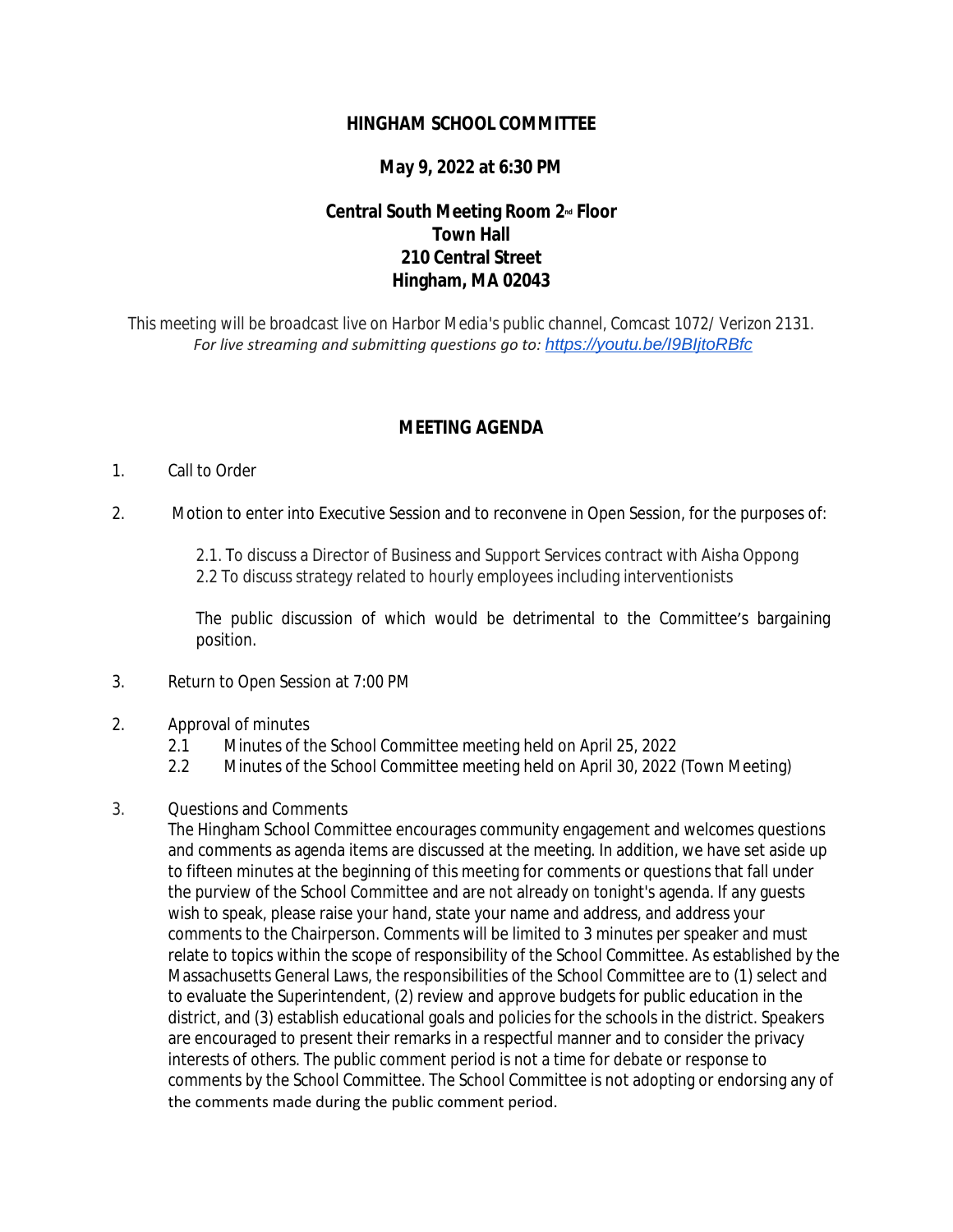### **HINGHAM SCHOOL COMMITTEE**

## **May 9, 2022 at 6:30 PM**

# **Central South Meeting Room 2nd Floor Town Hall 210 Central Street Hingham, MA 02043**

*This meeting will be broadcast live on Harbor Media's public channel, Comcast 1072/ Verizon 2131. For live streaming and submitting questions go to: <https://youtu.be/I9BIjtoRBfc>*

#### **MEETING AGENDA**

#### 1. Call to Order

2. Motion to enter into Executive Session and to reconvene in Open Session, for the purposes of:

2.1. To discuss a Director of Business and Support Services contract with Aisha Oppong 2.2 To discuss strategy related to hourly employees including interventionists

The public discussion of which would be detrimental to the Committee's bargaining position.

- 3. Return to Open Session at 7:00 PM
- 2. Approval of minutes
	- 2.1 Minutes of the School Committee meeting held on April 25, 2022
	- 2.2 Minutes of the School Committee meeting held on April 30, 2022 (Town Meeting)
- 3. Questions and Comments

The Hingham School Committee encourages community engagement and welcomes questions and comments as agenda items are discussed at the meeting. In addition, we have set aside up to fifteen minutes at the beginning of this meeting for comments or questions that fall under the purview of the School Committee and are not already on tonight's agenda. If any guests wish to speak, please raise your hand, state your name and address, and address your comments to the Chairperson. Comments will be limited to 3 minutes per speaker and must relate to topics within the scope of responsibility of the School Committee. As established by the Massachusetts General Laws, the responsibilities of the School Committee are to (1) select and to evaluate the Superintendent, (2) review and approve budgets for public education in the district, and (3) establish educational goals and policies for the schools in the district. Speakers are encouraged to present their remarks in a respectful manner and to consider the privacy interests of others. The public comment period is not a time for debate or response to comments by the School Committee. The School Committee is not adopting or endorsing any of the comments made during the public comment period.